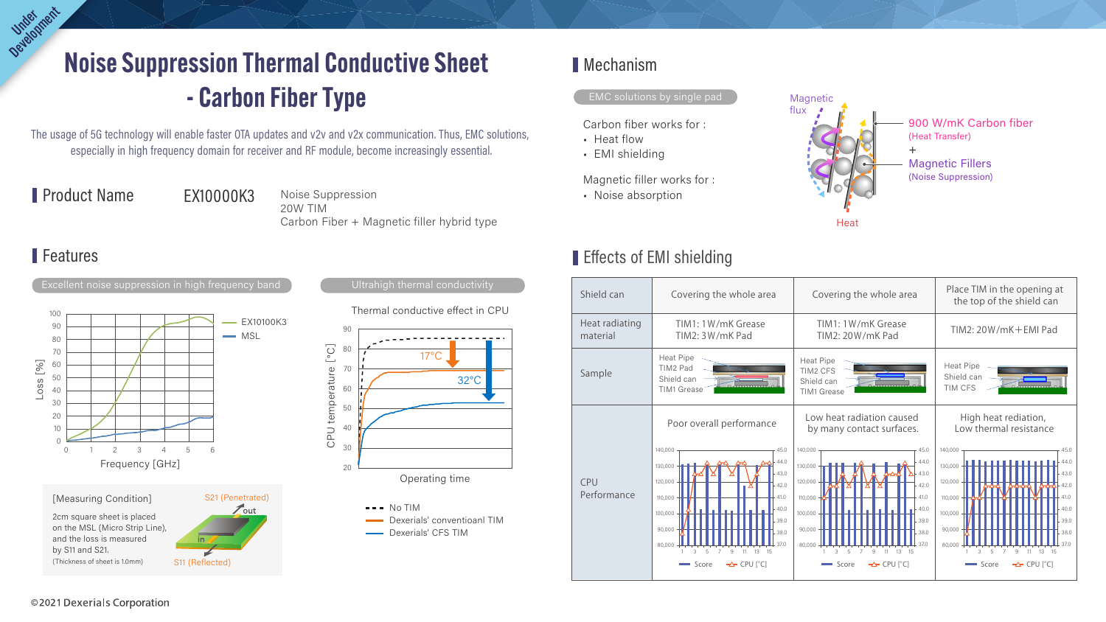# Noise Suppression Thermal Conductive Sheet - Carbon Fiber Type Oerlopment

The usage of 5G technology will enable faster OTA updates and v2v and v2x communication. Thus, EMC solutions, especially in high frequency domain for receiver and RF module, become increasingly essential.

Product Name EX10000K3

Noise Suppression 20W TIM Carbon Fiber + Magnetic filler hybrid type

## -

Thermal conductive effect in CPU



Dexerials' CFS TIM

# Mechanism

### EMC solutions by single pad

Carbon fiber works for :

- Heat flow
- EMI shielding

Magnetic filler works for :

• Noise absorption





#### Features Features Features Features Features Features Features Features of Effects of EMI shielding



| Shield can                 | Covering the whole area                                                                                                                                                                                                     | Covering the whole area                                                                                                                                                                                                    | Place TIM in the opening a<br>the top of the shield car                                                                                      |
|----------------------------|-----------------------------------------------------------------------------------------------------------------------------------------------------------------------------------------------------------------------------|----------------------------------------------------------------------------------------------------------------------------------------------------------------------------------------------------------------------------|----------------------------------------------------------------------------------------------------------------------------------------------|
| Heat radiating<br>material | TIM1: 1W/mK Grease<br>TIM2: 3W/mK Pad                                                                                                                                                                                       | TIM1: 1W/mK Grease<br>TIM2: 20W/mK Pad                                                                                                                                                                                     | TIM2: 20W/mK+EMI Pad                                                                                                                         |
| Sample                     | <b>Heat Pipe</b><br>TIM2 Pad<br>Shield can<br>TIM1 Grease                                                                                                                                                                   | <b>Heat Pipe</b><br>TIM2 CFS<br>Shield can<br><b>TIM1 Grease</b>                                                                                                                                                           | <b>Heat Pipe</b><br>Shield can<br>TIM CFS                                                                                                    |
| <b>CPU</b><br>Performance  | Poor overall performance                                                                                                                                                                                                    | Low heat radiation caused<br>by many contact surfaces.                                                                                                                                                                     | High heat rediation,<br>Low thermal resistance                                                                                               |
|                            | 140,000<br>45.0<br>44.0<br>130,000<br>43.0<br>120,000<br>42.0<br>110,000<br>41.0<br>40.0<br>100,000<br>39.0<br>90,000<br>38.0<br>80,000<br>13<br>- 15<br>3<br>9<br>-5<br>- 11<br>$\rightarrow$ CPU [ $^{\circ}$ C]<br>Score | 140,000<br>45.0<br>44.0<br>130,000<br>43.0<br>120,000<br>42.0<br>110,000<br>41.0<br>40.0<br>100,000<br>39.0<br>90,000<br>38.0<br>80,000<br>13<br>15<br>3<br>-9<br>- 5<br>-11<br>Score<br>$\rightarrow$ CPU [ $^{\circ}$ C] | 140,000<br>130,000<br>120,000<br>110,000<br>100,000<br>90,000<br>80,000<br>3<br>13<br>9<br>5<br>11<br>-15<br>Score<br>$\rightarrow$ CPU [°C] |
|                            |                                                                                                                                                                                                                             |                                                                                                                                                                                                                            |                                                                                                                                              |